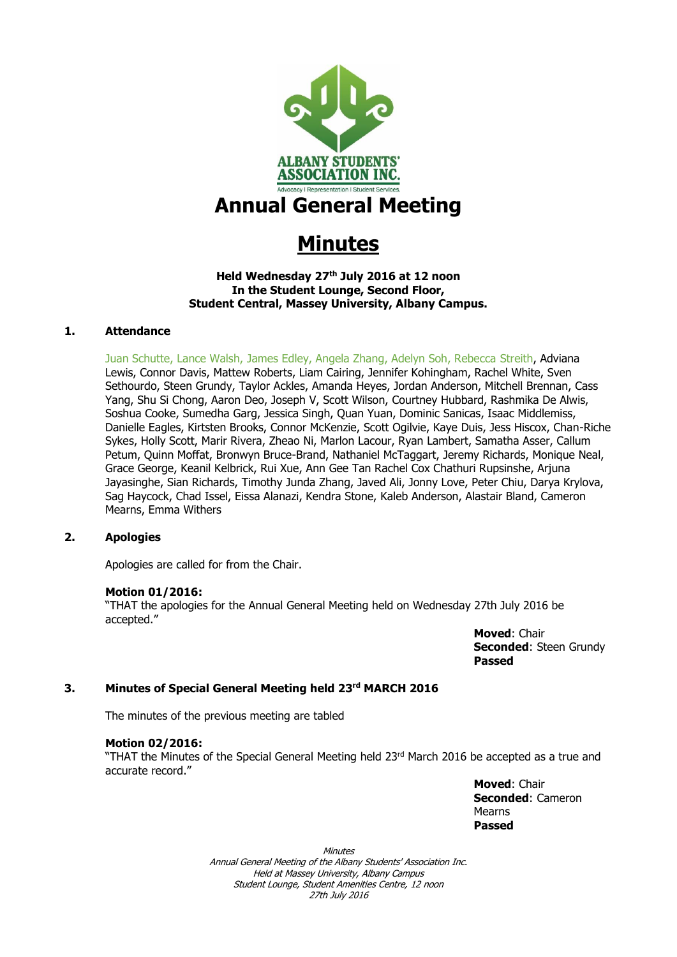

## **Annual General Meeting**

# **Minutes**

#### **Held Wednesday 27th July 2016 at 12 noon In the Student Lounge, Second Floor, Student Central, Massey University, Albany Campus.**

#### **1. Attendance**

Juan Schutte, Lance Walsh, James Edley, Angela Zhang, Adelyn Soh, Rebecca Streith, Adviana Lewis, Connor Davis, Mattew Roberts, Liam Cairing, Jennifer Kohingham, Rachel White, Sven Sethourdo, Steen Grundy, Taylor Ackles, Amanda Heyes, Jordan Anderson, Mitchell Brennan, Cass Yang, Shu Si Chong, Aaron Deo, Joseph V, Scott Wilson, Courtney Hubbard, Rashmika De Alwis, Soshua Cooke, Sumedha Garg, Jessica Singh, Quan Yuan, Dominic Sanicas, Isaac Middlemiss, Danielle Eagles, Kirtsten Brooks, Connor McKenzie, Scott Ogilvie, Kaye Duis, Jess Hiscox, Chan-Riche Sykes, Holly Scott, Marir Rivera, Zheao Ni, Marlon Lacour, Ryan Lambert, Samatha Asser, Callum Petum, Quinn Moffat, Bronwyn Bruce-Brand, Nathaniel McTaggart, Jeremy Richards, Monique Neal, Grace George, Keanil Kelbrick, Rui Xue, Ann Gee Tan Rachel Cox Chathuri Rupsinshe, Arjuna Jayasinghe, Sian Richards, Timothy Junda Zhang, Javed Ali, Jonny Love, Peter Chiu, Darya Krylova, Sag Haycock, Chad Issel, Eissa Alanazi, Kendra Stone, Kaleb Anderson, Alastair Bland, Cameron Mearns, Emma Withers

#### **2. Apologies**

Apologies are called for from the Chair.

#### **Motion 01/2016:**

"THAT the apologies for the Annual General Meeting held on Wednesday 27th July 2016 be accepted."

> **Moved**: Chair **Seconded**: Steen Grundy **Passed**

#### **3. Minutes of Special General Meeting held 23rd MARCH 2016**

The minutes of the previous meeting are tabled

#### **Motion 02/2016:**

"THAT the Minutes of the Special General Meeting held  $23<sup>rd</sup>$  March 2016 be accepted as a true and accurate record."

> **Moved**: Chair **Seconded**: Cameron Mearns **Passed**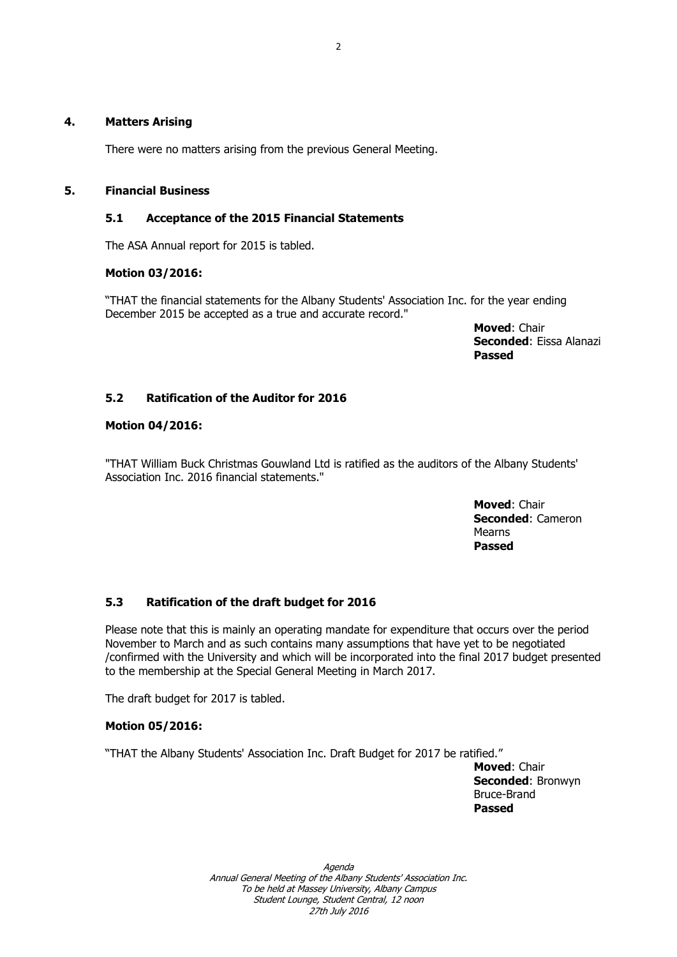#### **4. Matters Arising**

There were no matters arising from the previous General Meeting.

#### **5. Financial Business**

#### **5.1 Acceptance of the 2015 Financial Statements**

The ASA Annual report for 2015 is tabled.

#### **Motion 03/2016:**

"THAT the financial statements for the Albany Students' Association Inc. for the year ending December 2015 be accepted as a true and accurate record."

> **Moved**: Chair **Seconded**: Eissa Alanazi **Passed**

## **5.2 Ratification of the Auditor for 2016**

#### **Motion 04/2016:**

"THAT William Buck Christmas Gouwland Ltd is ratified as the auditors of the Albany Students' Association Inc. 2016 financial statements."

> **Moved**: Chair **Seconded**: Cameron Mearns **Passed**

## **5.3 Ratification of the draft budget for 2016**

Please note that this is mainly an operating mandate for expenditure that occurs over the period November to March and as such contains many assumptions that have yet to be negotiated /confirmed with the University and which will be incorporated into the final 2017 budget presented to the membership at the Special General Meeting in March 2017.

The draft budget for 2017 is tabled.

#### **Motion 05/2016:**

"THAT the Albany Students' Association Inc. Draft Budget for 2017 be ratified."

**Moved**: Chair **Seconded**: Bronwyn Bruce-Brand **Passed**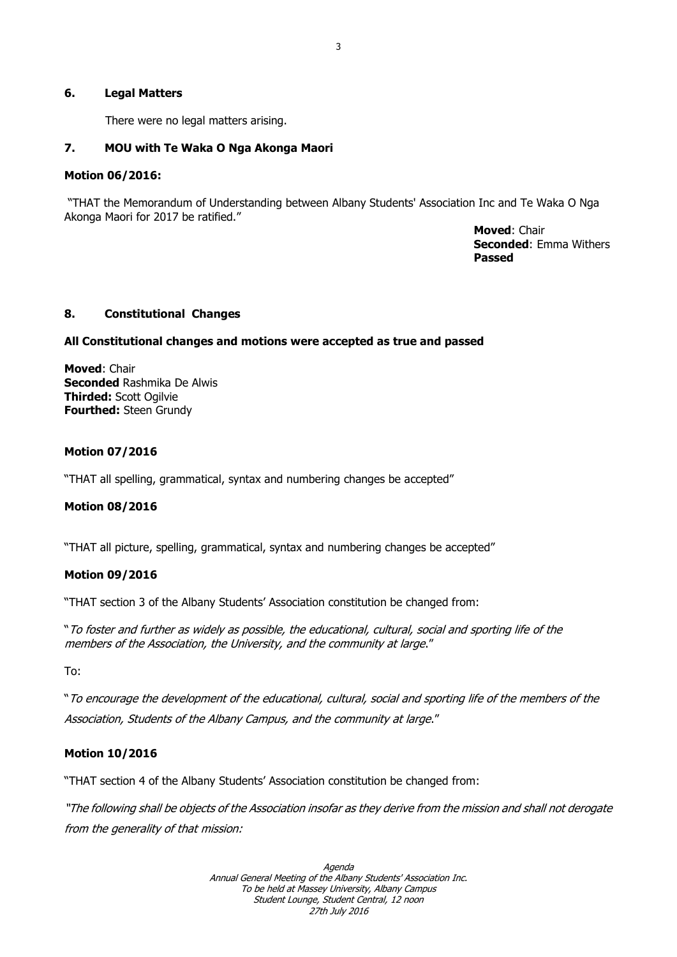#### **6. Legal Matters**

There were no legal matters arising.

#### **7. MOU with Te Waka O Nga Akonga Maori**

#### **Motion 06/2016:**

"THAT the Memorandum of Understanding between Albany Students' Association Inc and Te Waka O Nga Akonga Maori for 2017 be ratified."

> **Moved**: Chair **Seconded**: Emma Withers **Passed**

#### **8. Constitutional Changes**

#### **All Constitutional changes and motions were accepted as true and passed**

**Moved**: Chair **Seconded** Rashmika De Alwis **Thirded:** Scott Ogilvie **Fourthed:** Steen Grundy

#### **Motion 07/2016**

"THAT all spelling, grammatical, syntax and numbering changes be accepted"

#### **Motion 08/2016**

"THAT all picture, spelling, grammatical, syntax and numbering changes be accepted"

#### **Motion 09/2016**

"THAT section 3 of the Albany Students' Association constitution be changed from:

"To foster and further as widely as possible, the educational, cultural, social and sporting life of the members of the Association, the University, and the community at large."

To:

"To encourage the development of the educational, cultural, social and sporting life of the members of the Association, Students of the Albany Campus, and the community at large."

#### **Motion 10/2016**

"THAT section 4 of the Albany Students' Association constitution be changed from:

"The following shall be objects of the Association insofar as they derive from the mission and shall not derogate from the generality of that mission: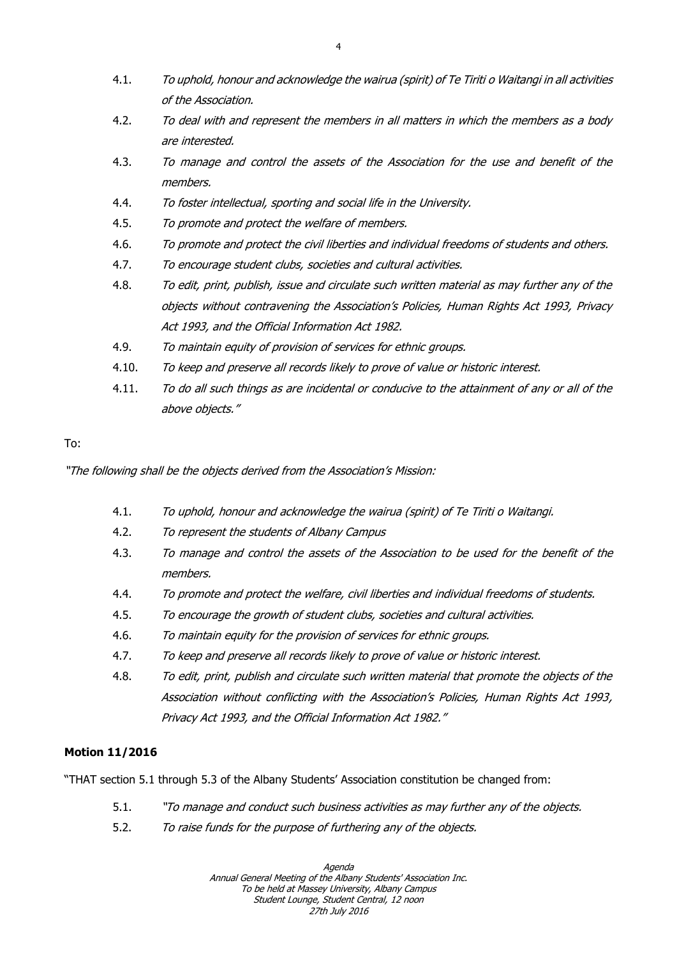- 4.1. To uphold, honour and acknowledge the wairua (spirit) of Te Tiriti o Waitangi in all activities of the Association.
- 4.2. To deal with and represent the members in all matters in which the members as a body are interested.
- 4.3. To manage and control the assets of the Association for the use and benefit of the members.
- 4.4. To foster intellectual, sporting and social life in the University.
- 4.5. To promote and protect the welfare of members.
- 4.6. To promote and protect the civil liberties and individual freedoms of students and others.
- 4.7. To encourage student clubs, societies and cultural activities.
- 4.8. To edit, print, publish, issue and circulate such written material as may further any of the objects without contravening the Association's Policies, Human Rights Act 1993, Privacy Act 1993, and the Official Information Act 1982.
- 4.9. To maintain equity of provision of services for ethnic groups.
- 4.10. To keep and preserve all records likely to prove of value or historic interest.
- 4.11. To do all such things as are incidental or conducive to the attainment of any or all of the above objects."

"The following shall be the objects derived from the Association's Mission:

- 4.1. To uphold, honour and acknowledge the wairua (spirit) of Te Tiriti o Waitangi.
- 4.2. To represent the students of Albany Campus
- 4.3. To manage and control the assets of the Association to be used for the benefit of the members.
- 4.4. To promote and protect the welfare, civil liberties and individual freedoms of students.
- 4.5. To encourage the growth of student clubs, societies and cultural activities.
- 4.6. To maintain equity for the provision of services for ethnic groups.
- 4.7. To keep and preserve all records likely to prove of value or historic interest.
- 4.8. To edit, print, publish and circulate such written material that promote the objects of the Association without conflicting with the Association's Policies, Human Rights Act 1993, Privacy Act 1993, and the Official Information Act 1982."

## **Motion 11/2016**

"THAT section 5.1 through 5.3 of the Albany Students' Association constitution be changed from:

- 5.1. "To manage and conduct such business activities as may further any of the objects.
- 5.2. To raise funds for the purpose of furthering any of the objects.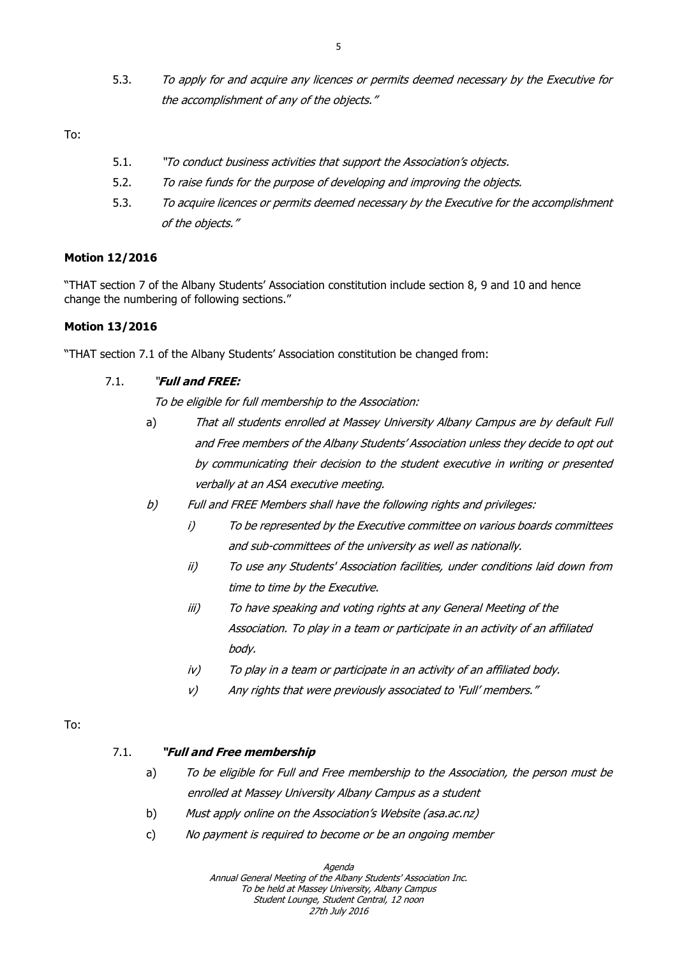5.3. To apply for and acquire any licences or permits deemed necessary by the Executive for the accomplishment of any of the objects."

To:

- 5.1. "To conduct business activities that support the Association's objects.
- 5.2. To raise funds for the purpose of developing and improving the objects.
- 5.3. To acquire licences or permits deemed necessary by the Executive for the accomplishment of the objects."

#### **Motion 12/2016**

"THAT section 7 of the Albany Students' Association constitution include section 8, 9 and 10 and hence change the numbering of following sections."

#### **Motion 13/2016**

"THAT section 7.1 of the Albany Students' Association constitution be changed from:

#### 7.1. "**Full and FREE:**

To be eligible for full membership to the Association:

- a) That all students enrolled at Massey University Albany Campus are by default Full and Free members of the Albany Students' Association unless they decide to opt out by communicating their decision to the student executive in writing or presented verbally at an ASA executive meeting.
- b) Full and FREE Members shall have the following rights and privileges:
	- i) To be represented by the Executive committee on various boards committees and sub-committees of the university as well as nationally.
	- ii) To use any Students' Association facilities, under conditions laid down from time to time by the Executive.
	- iii) To have speaking and voting rights at any General Meeting of the Association. To play in a team or participate in an activity of an affiliated body.
	- iv) To play in a team or participate in an activity of an affiliated body.
	- v) Any rights that were previously associated to 'Full' members."

## To:

#### 7.1. **"Full and Free membership**

- a) To be eligible for Full and Free membership to the Association, the person must be enrolled at Massey University Albany Campus as a student
- b) Must apply online on the Association's Website (asa.ac.nz)
- c) No payment is required to become or be an ongoing member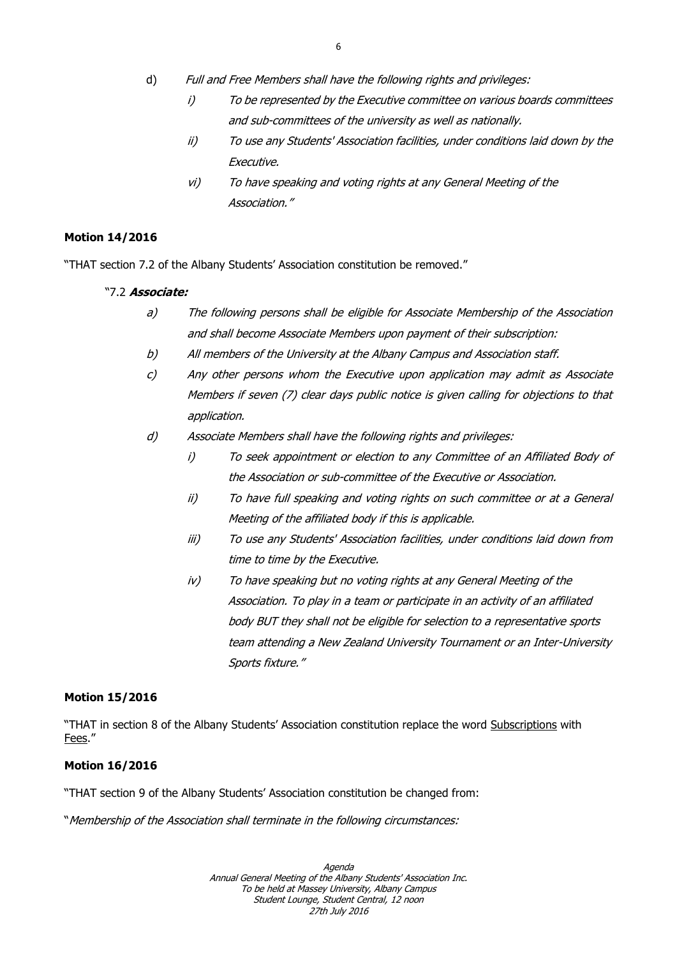- d) Full and Free Members shall have the following rights and privileges:
	- i) To be represented by the Executive committee on various boards committees and sub-committees of the university as well as nationally.
	- ii) To use any Students' Association facilities, under conditions laid down by the Executive.
	- vi) To have speaking and voting rights at any General Meeting of the Association."

#### **Motion 14/2016**

"THAT section 7.2 of the Albany Students' Association constitution be removed."

#### "7.2 **Associate:**

- a) The following persons shall be eligible for Associate Membership of the Association and shall become Associate Members upon payment of their subscription:
- b) All members of the University at the Albany Campus and Association staff.
- c) Any other persons whom the Executive upon application may admit as Associate Members if seven (7) clear days public notice is given calling for objections to that application.
- d) Associate Members shall have the following rights and privileges:
	- i) To seek appointment or election to any Committee of an Affiliated Body of the Association or sub-committee of the Executive or Association.
	- ii) To have full speaking and voting rights on such committee or at a General Meeting of the affiliated body if this is applicable.
	- iii) To use any Students' Association facilities, under conditions laid down from time to time by the Executive.
	- iv) To have speaking but no voting rights at any General Meeting of the Association. To play in a team or participate in an activity of an affiliated body BUT they shall not be eligible for selection to a representative sports team attending a New Zealand University Tournament or an Inter-University Sports fixture."

#### **Motion 15/2016**

"THAT in section 8 of the Albany Students' Association constitution replace the word Subscriptions with Fees."

#### **Motion 16/2016**

"THAT section 9 of the Albany Students' Association constitution be changed from:

"Membership of the Association shall terminate in the following circumstances: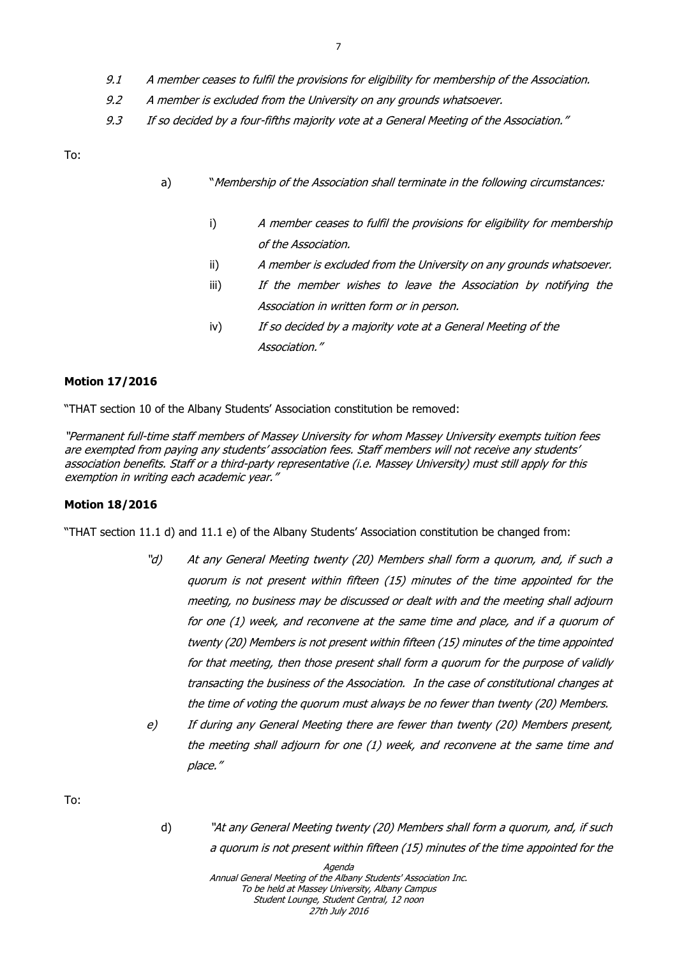- 9.1 A member ceases to fulfil the provisions for eligibility for membership of the Association.
- 9.2 A member is excluded from the University on any grounds whatsoever.
- 9.3 If so decided by a four-fifths majority vote at a General Meeting of the Association."

- a) "Membership of the Association shall terminate in the following circumstances:
	- i) A member ceases to fulfil the provisions for eligibility for membership of the Association.
	- ii) A member is excluded from the University on any grounds whatsoever.
	- iii) If the member wishes to leave the Association by notifying the Association in written form or in person.
	- iv) If so decided by a majority vote at a General Meeting of the Association."

#### **Motion 17/2016**

"THAT section 10 of the Albany Students' Association constitution be removed:

"Permanent full-time staff members of Massey University for whom Massey University exempts tuition fees are exempted from paying any students' association fees. Staff members will not receive any students' association benefits. Staff or a third-party representative (i.e. Massey University) must still apply for this exemption in writing each academic year."

#### **Motion 18/2016**

"THAT section 11.1 d) and 11.1 e) of the Albany Students' Association constitution be changed from:

- "d) At any General Meeting twenty (20) Members shall form a quorum, and, if such a quorum is not present within fifteen (15) minutes of the time appointed for the meeting, no business may be discussed or dealt with and the meeting shall adjourn for one (1) week, and reconvene at the same time and place, and if a quorum of twenty (20) Members is not present within fifteen (15) minutes of the time appointed for that meeting, then those present shall form a quorum for the purpose of validly transacting the business of the Association. In the case of constitutional changes at the time of voting the quorum must always be no fewer than twenty (20) Members.
- e) If during any General Meeting there are fewer than twenty (20) Members present, the meeting shall adjourn for one (1) week, and reconvene at the same time and place."

To:

d) "At any General Meeting twenty (20) Members shall form a quorum, and, if such a quorum is not present within fifteen (15) minutes of the time appointed for the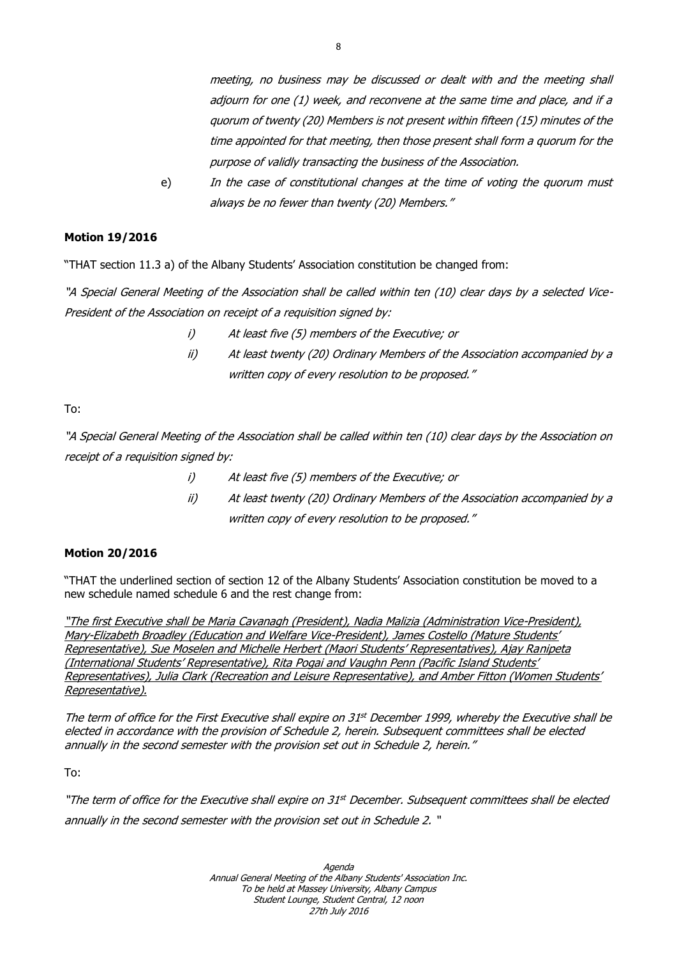meeting, no business may be discussed or dealt with and the meeting shall adjourn for one (1) week, and reconvene at the same time and place, and if a quorum of twenty (20) Members is not present within fifteen (15) minutes of the time appointed for that meeting, then those present shall form a quorum for the purpose of validly transacting the business of the Association.

e) In the case of constitutional changes at the time of voting the quorum must always be no fewer than twenty (20) Members."

## **Motion 19/2016**

"THAT section 11.3 a) of the Albany Students' Association constitution be changed from:

"A Special General Meeting of the Association shall be called within ten (10) clear days by a selected Vice-President of the Association on receipt of a requisition signed by:

- i) At least five (5) members of the Executive; or
- ii) At least twenty (20) Ordinary Members of the Association accompanied by a written copy of every resolution to be proposed."

To:

"A Special General Meeting of the Association shall be called within ten (10) clear days by the Association on receipt of a requisition signed by:

- i) At least five (5) members of the Executive; or
- ii) At least twenty (20) Ordinary Members of the Association accompanied by a written copy of every resolution to be proposed."

#### **Motion 20/2016**

"THAT the underlined section of section 12 of the Albany Students' Association constitution be moved to a new schedule named schedule 6 and the rest change from:

"The first Executive shall be Maria Cavanagh (President), Nadia Malizia (Administration Vice-President), Mary-Elizabeth Broadley (Education and Welfare Vice-President), James Costello (Mature Students' Representative), Sue Moselen and Michelle Herbert (Maori Students' Representatives), Ajay Ranipeta (International Students' Representative), Rita Pogai and Vaughn Penn (Pacific Island Students' Representatives), Julia Clark (Recreation and Leisure Representative), and Amber Fitton (Women Students' Representative).

The term of office for the First Executive shall expire on  $31<sup>st</sup>$  December 1999, whereby the Executive shall be elected in accordance with the provision of Schedule 2, herein. Subsequent committees shall be elected annually in the second semester with the provision set out in Schedule 2, herein."

To:

"The term of office for the Executive shall expire on 31st December. Subsequent committees shall be elected annually in the second semester with the provision set out in Schedule 2. "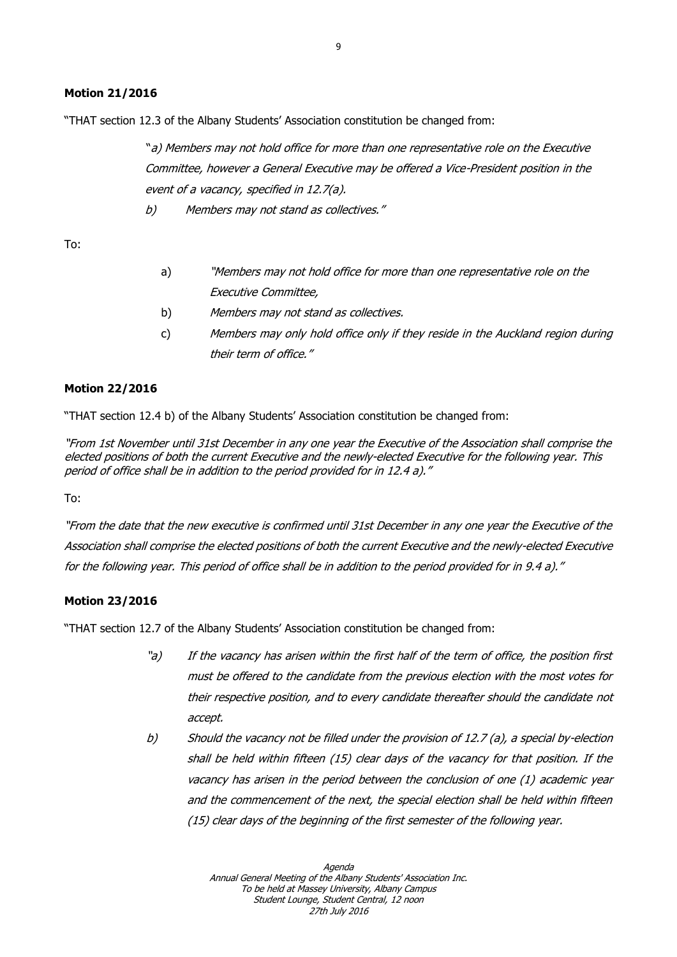#### **Motion 21/2016**

"THAT section 12.3 of the Albany Students' Association constitution be changed from:

"a) Members may not hold office for more than one representative role on the Executive Committee, however a General Executive may be offered a Vice-President position in the event of a vacancy, specified in 12.7(a).

b) Members may not stand as collectives."

To:

- a) "Members may not hold office for more than one representative role on the Executive Committee,
- b) Members may not stand as collectives.
- c) Members may only hold office only if they reside in the Auckland region during their term of office."

#### **Motion 22/2016**

"THAT section 12.4 b) of the Albany Students' Association constitution be changed from:

"From 1st November until 31st December in any one year the Executive of the Association shall comprise the elected positions of both the current Executive and the newly-elected Executive for the following year. This period of office shall be in addition to the period provided for in 12.4 a)."

To:

"From the date that the new executive is confirmed until 31st December in any one year the Executive of the Association shall comprise the elected positions of both the current Executive and the newly-elected Executive for the following year. This period of office shall be in addition to the period provided for in 9.4 a)."

## **Motion 23/2016**

"THAT section 12.7 of the Albany Students' Association constitution be changed from:

- "a) If the vacancy has arisen within the first half of the term of office, the position first must be offered to the candidate from the previous election with the most votes for their respective position, and to every candidate thereafter should the candidate not accept.
- b) Should the vacancy not be filled under the provision of 12.7 (a), a special by-election shall be held within fifteen (15) clear days of the vacancy for that position. If the vacancy has arisen in the period between the conclusion of one (1) academic year and the commencement of the next, the special election shall be held within fifteen (15) clear days of the beginning of the first semester of the following year.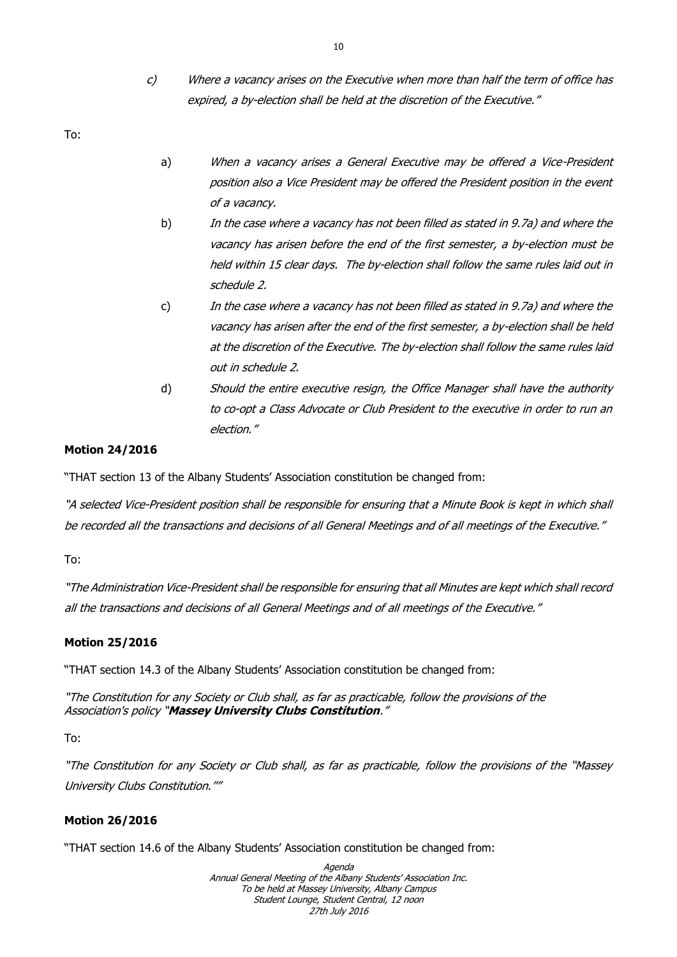c) Where a vacancy arises on the Executive when more than half the term of office has expired, a by-election shall be held at the discretion of the Executive."

To:

- a) When a vacancy arises a General Executive may be offered a Vice-President position also a Vice President may be offered the President position in the event of a vacancy.
- b) In the case where a vacancy has not been filled as stated in 9.7a) and where the vacancy has arisen before the end of the first semester, a by-election must be held within 15 clear days. The by-election shall follow the same rules laid out in schedule 2.
- c) In the case where a vacancy has not been filled as stated in 9.7a) and where the vacancy has arisen after the end of the first semester, a by-election shall be held at the discretion of the Executive. The by-election shall follow the same rules laid out in schedule 2.
- d) Should the entire executive resign, the Office Manager shall have the authority to co-opt a Class Advocate or Club President to the executive in order to run an election."

## **Motion 24/2016**

"THAT section 13 of the Albany Students' Association constitution be changed from:

"A selected Vice-President position shall be responsible for ensuring that a Minute Book is kept in which shall be recorded all the transactions and decisions of all General Meetings and of all meetings of the Executive."

To:

"The Administration Vice-President shall be responsible for ensuring that all Minutes are kept which shall record all the transactions and decisions of all General Meetings and of all meetings of the Executive."

## **Motion 25/2016**

"THAT section 14.3 of the Albany Students' Association constitution be changed from:

"The Constitution for any Society or Club shall, as far as practicable, follow the provisions of the Association's policy "**Massey University Clubs Constitution**."

To:

"The Constitution for any Society or Club shall, as far as practicable, follow the provisions of the "Massey University Clubs Constitution.""

## **Motion 26/2016**

"THAT section 14.6 of the Albany Students' Association constitution be changed from: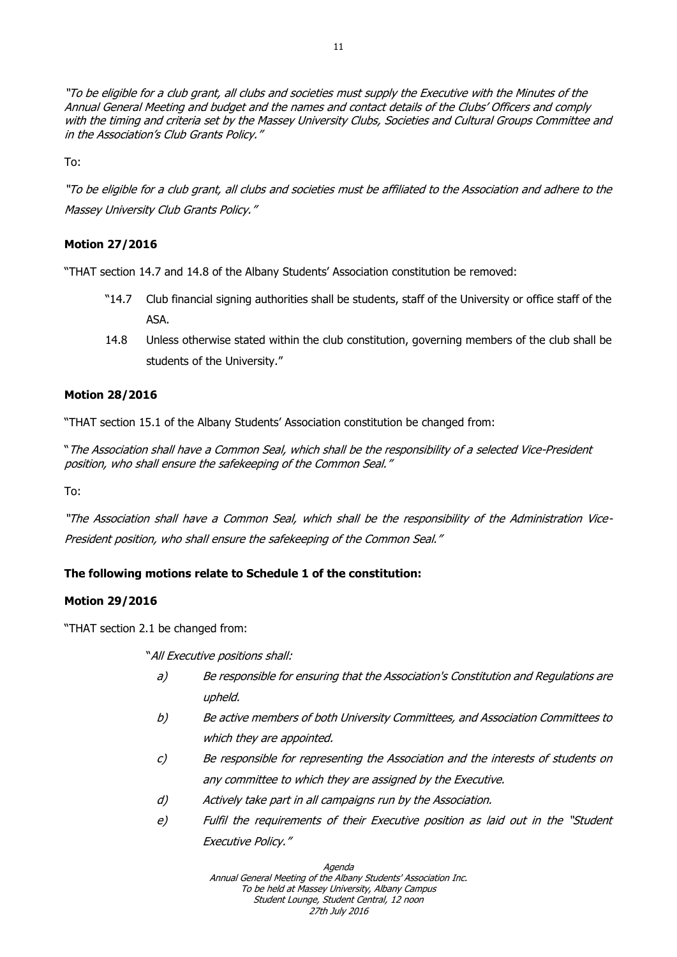"To be eligible for a club grant, all clubs and societies must supply the Executive with the Minutes of the Annual General Meeting and budget and the names and contact details of the Clubs' Officers and comply with the timing and criteria set by the Massey University Clubs, Societies and Cultural Groups Committee and in the Association's Club Grants Policy."

To:

"To be eligible for a club grant, all clubs and societies must be affiliated to the Association and adhere to the Massey University Club Grants Policy."

## **Motion 27/2016**

"THAT section 14.7 and 14.8 of the Albany Students' Association constitution be removed:

- "14.7 Club financial signing authorities shall be students, staff of the University or office staff of the ASA.
- 14.8 Unless otherwise stated within the club constitution, governing members of the club shall be students of the University."

#### **Motion 28/2016**

"THAT section 15.1 of the Albany Students' Association constitution be changed from:

"The Association shall have a Common Seal, which shall be the responsibility of a selected Vice-President position, who shall ensure the safekeeping of the Common Seal."

To:

"The Association shall have a Common Seal, which shall be the responsibility of the Administration Vice-President position, who shall ensure the safekeeping of the Common Seal."

## **The following motions relate to Schedule 1 of the constitution:**

## **Motion 29/2016**

"THAT section 2.1 be changed from:

"All Executive positions shall:

- a) Be responsible for ensuring that the Association's Constitution and Regulations are upheld.
- b) Be active members of both University Committees, and Association Committees to which they are appointed.
- c) Be responsible for representing the Association and the interests of students on any committee to which they are assigned by the Executive.
- d) Actively take part in all campaigns run by the Association.
- e) Fulfil the requirements of their Executive position as laid out in the "Student Executive Policy."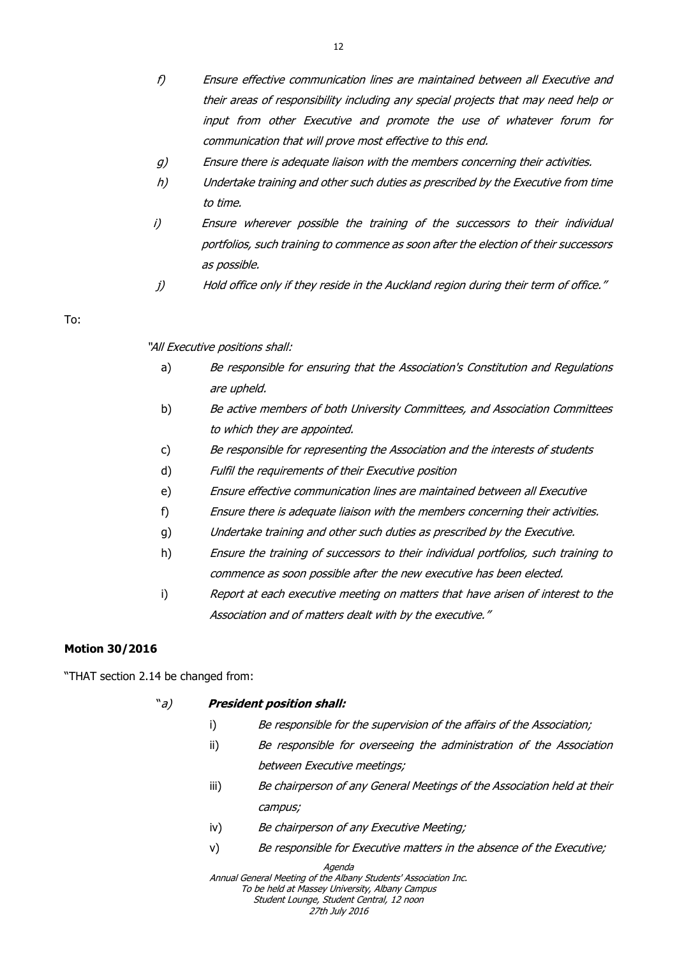- f) Ensure effective communication lines are maintained between all Executive and their areas of responsibility including any special projects that may need help or input from other Executive and promote the use of whatever forum for communication that will prove most effective to this end.
- g) Ensure there is adequate liaison with the members concerning their activities.
- h) Undertake training and other such duties as prescribed by the Executive from time to time.
- i) Ensure wherever possible the training of the successors to their individual portfolios, such training to commence as soon after the election of their successors as possible.
- j) Hold office only if they reside in the Auckland region during their term of office."

"All Executive positions shall:

- a) Be responsible for ensuring that the Association's Constitution and Regulations are upheld.
- b) Be active members of both University Committees, and Association Committees to which they are appointed.
- c) Be responsible for representing the Association and the interests of students
- d) Fulfil the requirements of their Executive position
- e) Ensure effective communication lines are maintained between all Executive
- f) Ensure there is adequate liaison with the members concerning their activities.
- g) Undertake training and other such duties as prescribed by the Executive.
- h) Ensure the training of successors to their individual portfolios, such training to commence as soon possible after the new executive has been elected.
- i) Report at each executive meeting on matters that have arisen of interest to the Association and of matters dealt with by the executive."

## **Motion 30/2016**

"THAT section 2.14 be changed from:

## "a) **President position shall:**

- i) Be responsible for the supervision of the affairs of the Association;
- ii) Be responsible for overseeing the administration of the Association between Executive meetings;
- iii) Be chairperson of any General Meetings of the Association held at their campus;
- iv) Be chairperson of any Executive Meeting;
- v) Be responsible for Executive matters in the absence of the Executive;

Agenda

Annual General Meeting of the Albany Students' Association Inc. To be held at Massey University, Albany Campus Student Lounge, Student Central, 12 noon

27th July 2016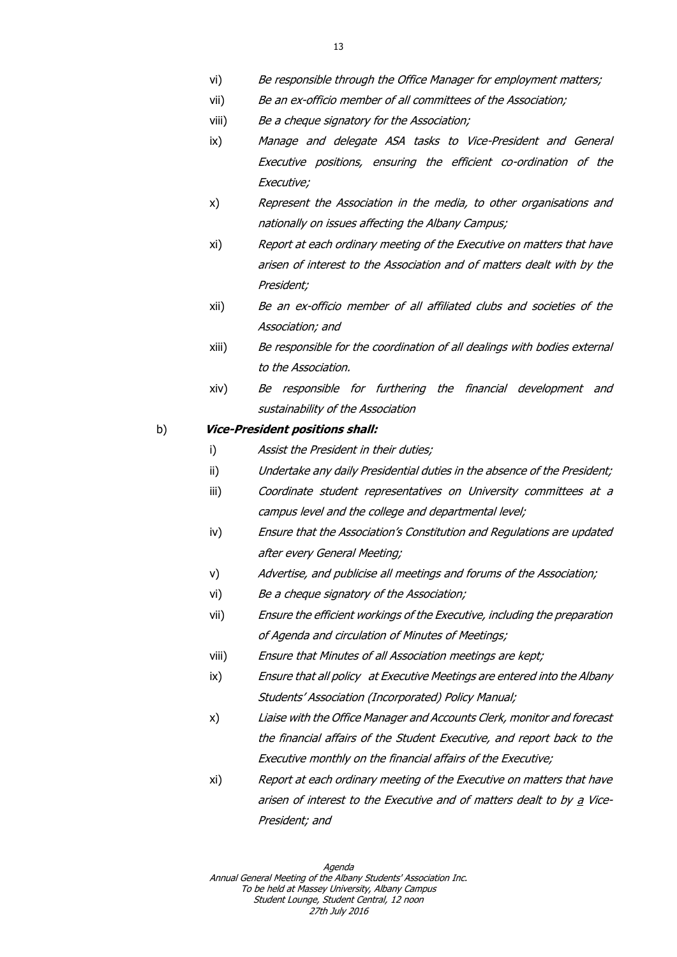- vi) Be responsible through the Office Manager for employment matters;
- vii) Be an ex-officio member of all committees of the Association;
- viii) Be a cheque signatory for the Association;
- ix) Manage and delegate ASA tasks to Vice-President and General Executive positions, ensuring the efficient co-ordination of the Executive;
- x) Represent the Association in the media, to other organisations and nationally on issues affecting the Albany Campus;
- xi) Report at each ordinary meeting of the Executive on matters that have arisen of interest to the Association and of matters dealt with by the President;
- xii) Be an ex-officio member of all affiliated clubs and societies of the Association; and
- xiii) Be responsible for the coordination of all dealings with bodies external to the Association.
- xiv) Be responsible for furthering the financial development and sustainability of the Association

#### b) **Vice-President positions shall:**

- i) Assist the President in their duties;
- ii) Undertake any daily Presidential duties in the absence of the President;
- iii) Coordinate student representatives on University committees at a campus level and the college and departmental level;
- iv) Ensure that the Association's Constitution and Regulations are updated after every General Meeting;
- v) Advertise, and publicise all meetings and forums of the Association;
- vi) Be a cheque signatory of the Association;
- vii) Ensure the efficient workings of the Executive, including the preparation of Agenda and circulation of Minutes of Meetings;
- viii) Ensure that Minutes of all Association meetings are kept;
- ix) Ensure that all policy at Executive Meetings are entered into the Albany Students' Association (Incorporated) Policy Manual;
- x) Liaise with the Office Manager and Accounts Clerk, monitor and forecast the financial affairs of the Student Executive, and report back to the Executive monthly on the financial affairs of the Executive;
- xi) Report at each ordinary meeting of the Executive on matters that have arisen of interest to the Executive and of matters dealt to by a Vice-President; and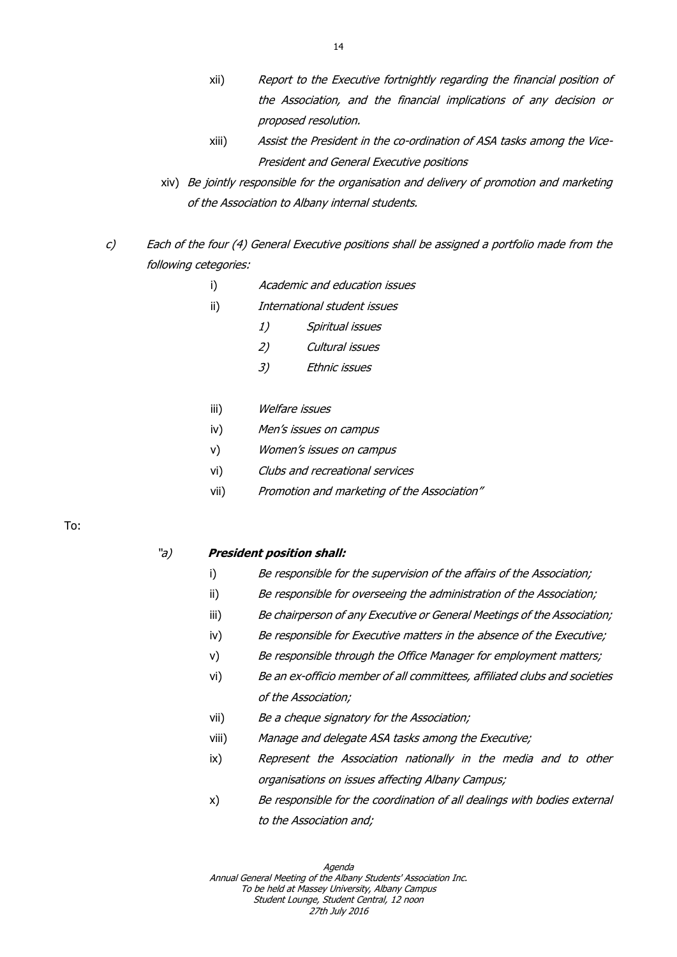- xii) Report to the Executive fortnightly regarding the financial position of the Association, and the financial implications of any decision or proposed resolution.
- xiii) Assist the President in the co-ordination of ASA tasks among the Vice-President and General Executive positions
- xiv) Be jointly responsible for the organisation and delivery of promotion and marketing of the Association to Albany internal students.
- c) Each of the four (4) General Executive positions shall be assigned a portfolio made from the following cetegories:
	- i) Academic and education issues
	- ii) International student issues
		- 1) Spiritual issues
		- 2) Cultural issues
		- 3) Ethnic issues
	- iii) Welfare issues
	- iv) Men's issues on campus
	- v) Women's issues on campus
	- vi) Clubs and recreational services
	- vii) Promotion and marketing of the Association"

#### "a) **President position shall:**

- i) Be responsible for the supervision of the affairs of the Association;
- ii) Be responsible for overseeing the administration of the Association;
- iii) Be chairperson of any Executive or General Meetings of the Association;
- iv) Be responsible for Executive matters in the absence of the Executive;
- v) Be responsible through the Office Manager for employment matters;
- vi) Be an ex-officio member of all committees, affiliated clubs and societies of the Association;
- vii) Be a cheque signatory for the Association;
- viii) Manage and delegate ASA tasks among the Executive;
- ix) Represent the Association nationally in the media and to other organisations on issues affecting Albany Campus;
- x) Be responsible for the coordination of all dealings with bodies external to the Association and;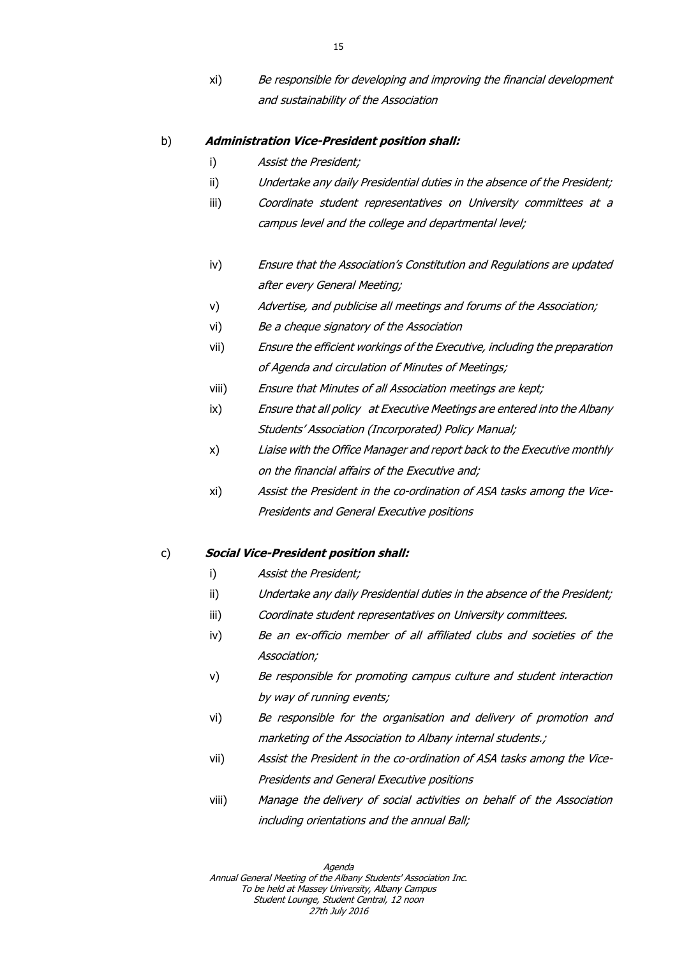xi) Be responsible for developing and improving the financial development and sustainability of the Association

#### b) **Administration Vice-President position shall:**

- i) Assist the President;
- ii) Undertake any daily Presidential duties in the absence of the President;
- iii) Coordinate student representatives on University committees at a campus level and the college and departmental level;
- iv) Ensure that the Association's Constitution and Regulations are updated after every General Meeting;
- v) Advertise, and publicise all meetings and forums of the Association;
- vi) Be a cheque signatory of the Association
- vii) Ensure the efficient workings of the Executive, including the preparation of Agenda and circulation of Minutes of Meetings;
- viii) Ensure that Minutes of all Association meetings are kept;
- ix) Ensure that all policy at Executive Meetings are entered into the Albany Students' Association (Incorporated) Policy Manual;
- x) Liaise with the Office Manager and report back to the Executive monthly on the financial affairs of the Executive and;
- xi) Assist the President in the co-ordination of ASA tasks among the Vice-Presidents and General Executive positions

#### c) **Social Vice-President position shall:**

- i) Assist the President;
- ii) Undertake any daily Presidential duties in the absence of the President;
- iii) Coordinate student representatives on University committees.
- iv) Be an ex-officio member of all affiliated clubs and societies of the Association;
- v) Be responsible for promoting campus culture and student interaction by way of running events;
- vi) Be responsible for the organisation and delivery of promotion and marketing of the Association to Albany internal students.;
- vii) Assist the President in the co-ordination of ASA tasks among the Vice-Presidents and General Executive positions
- viii) Manage the delivery of social activities on behalf of the Association including orientations and the annual Ball;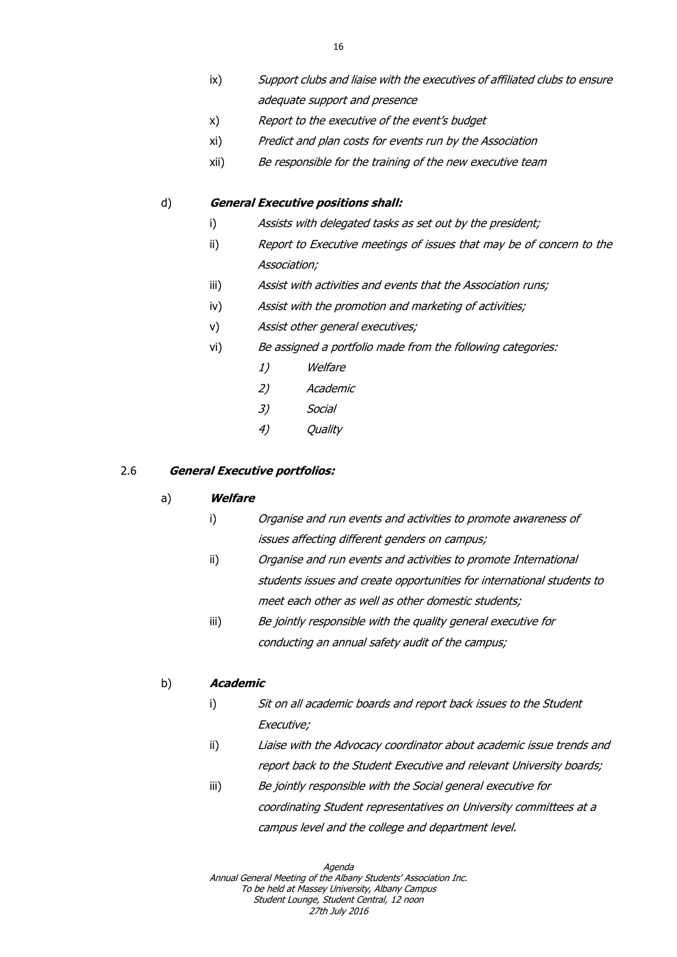- ix) Support clubs and liaise with the executives of affiliated clubs to ensure adequate support and presence
- x) Report to the executive of the event's budget
- xi) Predict and plan costs for events run by the Association
- xii) Be responsible for the training of the new executive team

#### d) **General Executive positions shall:**

- i) Assists with delegated tasks as set out by the president;
- ii) Report to Executive meetings of issues that may be of concern to the Association;
- iii) Assist with activities and events that the Association runs;
- iv) Assist with the promotion and marketing of activities;
- v) Assist other general executives;
- vi) Be assigned a portfolio made from the following categories:
	- 1) Welfare
	- 2) Academic
	- 3) Social
	- 4) Quality

#### 2.6 **General Executive portfolios:**

#### a) **Welfare**

- i) Organise and run events and activities to promote awareness of issues affecting different genders on campus;
- ii) Organise and run events and activities to promote International students issues and create opportunities for international students to meet each other as well as other domestic students;
- iii) Be jointly responsible with the quality general executive for conducting an annual safety audit of the campus;

## b) **Academic**

- i) Sit on all academic boards and report back issues to the Student Executive;
- ii) Liaise with the Advocacy coordinator about academic issue trends and report back to the Student Executive and relevant University boards;
- iii) Be jointly responsible with the Social general executive for coordinating Student representatives on University committees at a campus level and the college and department level.